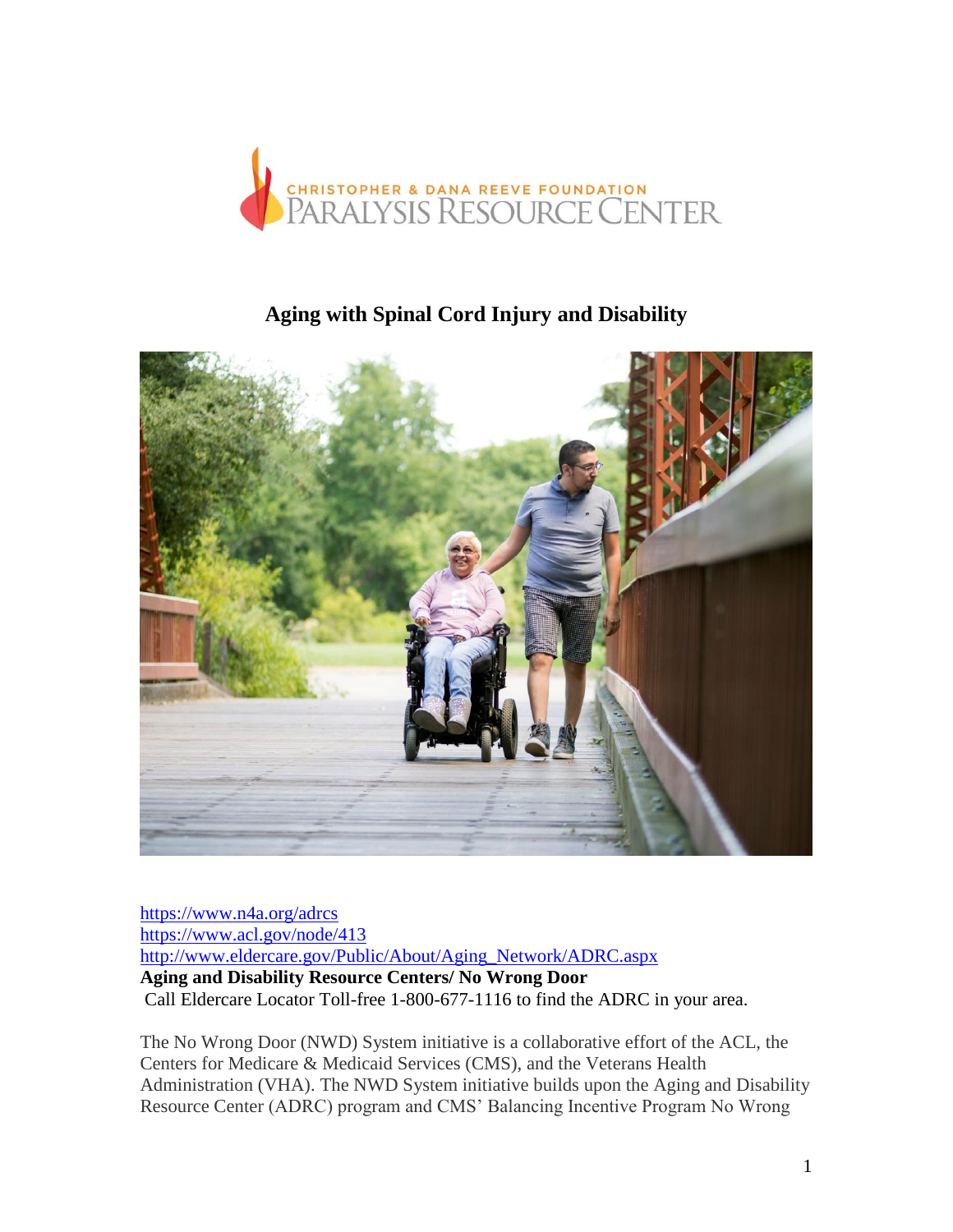

# **Aging with Spinal Cord Injury and Disability**



<https://www.n4a.org/adrcs> <https://www.acl.gov/node/413> [http://www.eldercare.gov/Public/About/Aging\\_Network/ADRC.aspx](http://www.eldercare.gov/Public/About/Aging_Network/ADRC.aspx) **Aging and Disability Resource Centers/ No Wrong Door**  Call Eldercare Locator Toll-free 1-800-677-1116 to find the ADRC in your area.

The No Wrong Door (NWD) System initiative is a collaborative effort of the ACL, the Centers for Medicare & Medicaid Services (CMS), and the Veterans Health Administration (VHA). The NWD System initiative builds upon the Aging and Disability Resource Center (ADRC) program and CMS' Balancing Incentive Program No Wrong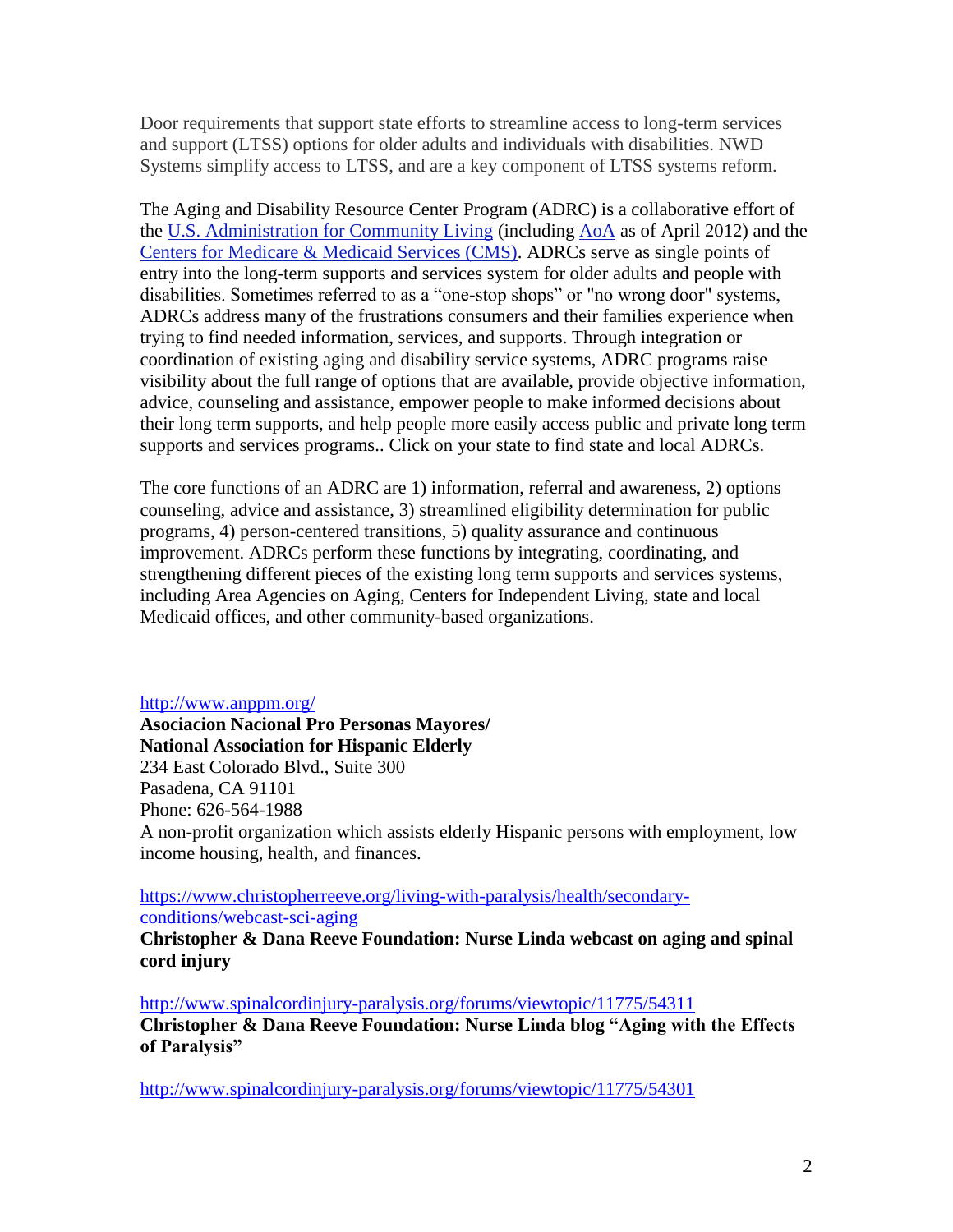Door requirements that support state efforts to streamline access to long-term services and support (LTSS) options for older adults and individuals with disabilities. NWD Systems simplify access to LTSS, and are a key component of LTSS systems reform.

The Aging and Disability Resource Center Program (ADRC) is a collaborative effort of the [U.S. Administration for Community Living](http://www.hhs.gov/acl/index.html) (including [AoA](http://www.aoa.gov/) as of April 2012) and the [Centers for Medicare & Medicaid Services \(CMS\).](http://www.cms.hhs.gov/) ADRCs serve as single points of entry into the long-term supports and services system for older adults and people with disabilities. Sometimes referred to as a "one-stop shops" or "no wrong door" systems, ADRCs address many of the frustrations consumers and their families experience when trying to find needed information, services, and supports. Through integration or coordination of existing aging and disability service systems, ADRC programs raise visibility about the full range of options that are available, provide objective information, advice, counseling and assistance, empower people to make informed decisions about their long term supports, and help people more easily access public and private long term supports and services programs.. Click on your state to find state and local ADRCs.

The core functions of an ADRC are 1) information, referral and awareness, 2) options counseling, advice and assistance, 3) streamlined eligibility determination for public programs, 4) person-centered transitions, 5) quality assurance and continuous improvement. ADRCs perform these functions by integrating, coordinating, and strengthening different pieces of the existing long term supports and services systems, including Area Agencies on Aging, Centers for Independent Living, state and local Medicaid offices, and other community-based organizations.

<http://www.anppm.org/>

**Asociacion Nacional Pro Personas Mayores/ National Association for Hispanic Elderly** 234 East Colorado Blvd., Suite 300 Pasadena, CA 91101 Phone: 626-564-1988 A non-profit organization which assists elderly Hispanic persons with employment, low income housing, health, and finances.

[https://www.christopherreeve.org/living-with-paralysis/health/secondary](https://www.christopherreeve.org/living-with-paralysis/health/secondary-conditions/webcast-sci-aging)[conditions/webcast-sci-aging](https://www.christopherreeve.org/living-with-paralysis/health/secondary-conditions/webcast-sci-aging)

**Christopher & Dana Reeve Foundation: Nurse Linda webcast on aging and spinal cord injury**

<http://www.spinalcordinjury-paralysis.org/forums/viewtopic/11775/54311> **Christopher & Dana Reeve Foundation: Nurse Linda blog "Aging with the Effects of Paralysis"** 

<http://www.spinalcordinjury-paralysis.org/forums/viewtopic/11775/54301>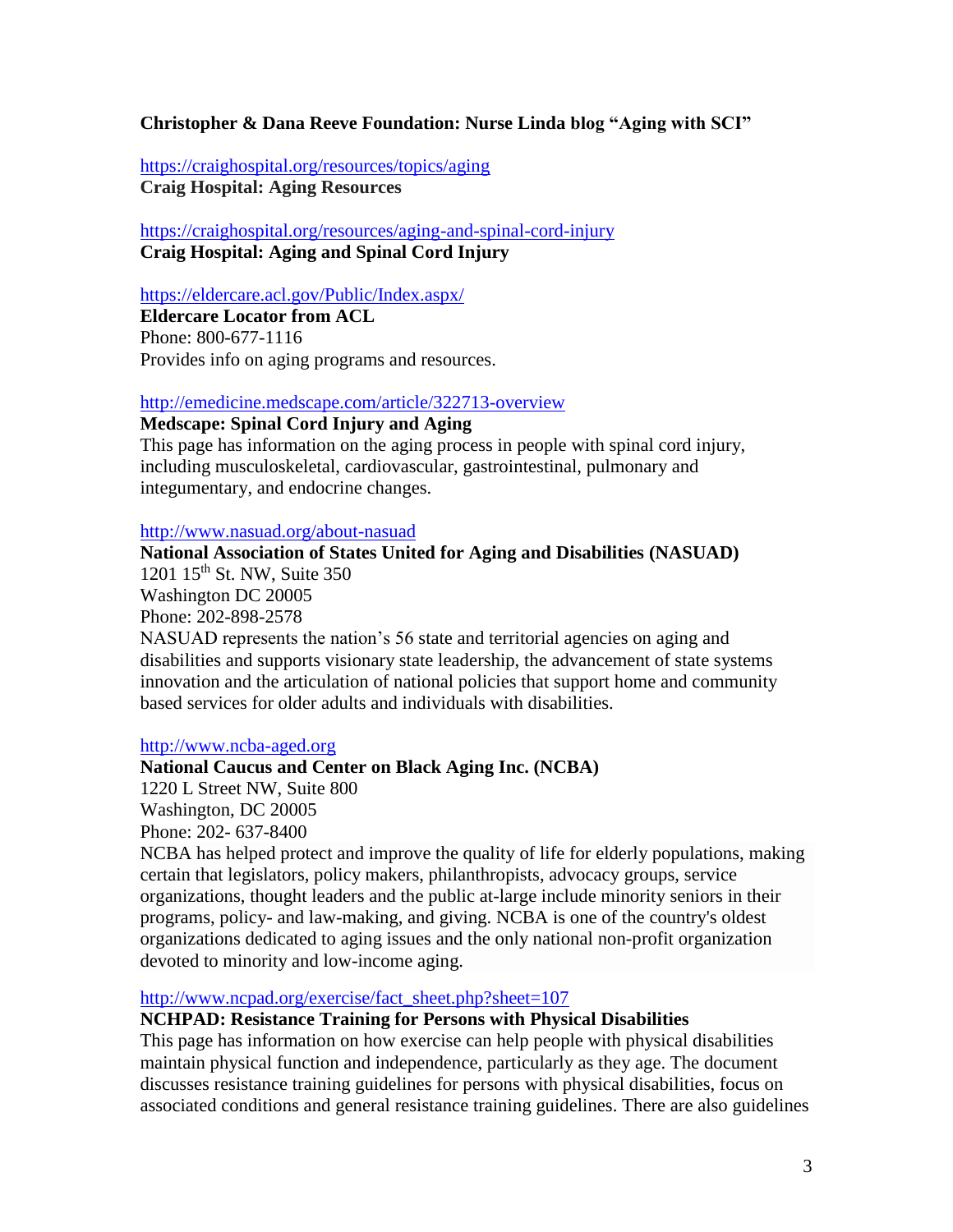# **Christopher & Dana Reeve Foundation: Nurse Linda blog "Aging with SCI"**

<https://craighospital.org/resources/topics/aging> **Craig Hospital: Aging Resources**

<https://craighospital.org/resources/aging-and-spinal-cord-injury> **Craig Hospital: Aging and Spinal Cord Injury**

<https://eldercare.acl.gov/Public/Index.aspx/>

**Eldercare Locator from ACL** Phone: 800-677-1116 Provides info on aging programs and resources.

<http://emedicine.medscape.com/article/322713-overview>

## **Medscape: Spinal Cord Injury and Aging**

This page has information on the aging process in people with spinal cord injury, including musculoskeletal, cardiovascular, gastrointestinal, pulmonary and integumentary, and endocrine changes.

### <http://www.nasuad.org/about-nasuad>

**National Association of States United for Aging and Disabilities (NASUAD)** 1201 15<sup>th</sup> St. NW, Suite 350 Washington DC 20005 Phone: 202-898-2578 NASUAD represents the nation's 56 state and territorial agencies on aging and disabilities and supports visionary state leadership, the advancement of state systems innovation and the articulation of national policies that support home and community based services for older adults and individuals with disabilities.

### [http://www.ncba-aged.org](http://www.ncba-aged.org/)

# **National Caucus and Center on Black Aging Inc. (NCBA)**

1220 L Street NW, Suite 800 Washington, DC 20005 Phone: 202- 637-8400

NCBA has helped protect and improve the quality of life for elderly populations, making certain that legislators, policy makers, philanthropists, advocacy groups, service organizations, thought leaders and the public at-large include minority seniors in their programs, policy- and law-making, and giving. NCBA is one of the country's oldest organizations dedicated to aging issues and the only national non-profit organization devoted to minority and low-income aging.

## [http://www.ncpad.org/exercise/fact\\_sheet.php?sheet=107](http://www.ncpad.org/exercise/fact_sheet.php?sheet=107)

### **NCHPAD: Resistance Training for Persons with Physical Disabilities**

This page has information on how exercise can help people with physical disabilities maintain physical function and independence, particularly as they age. The document discusses resistance training guidelines for persons with physical disabilities, focus on associated conditions and general resistance training guidelines. There are also guidelines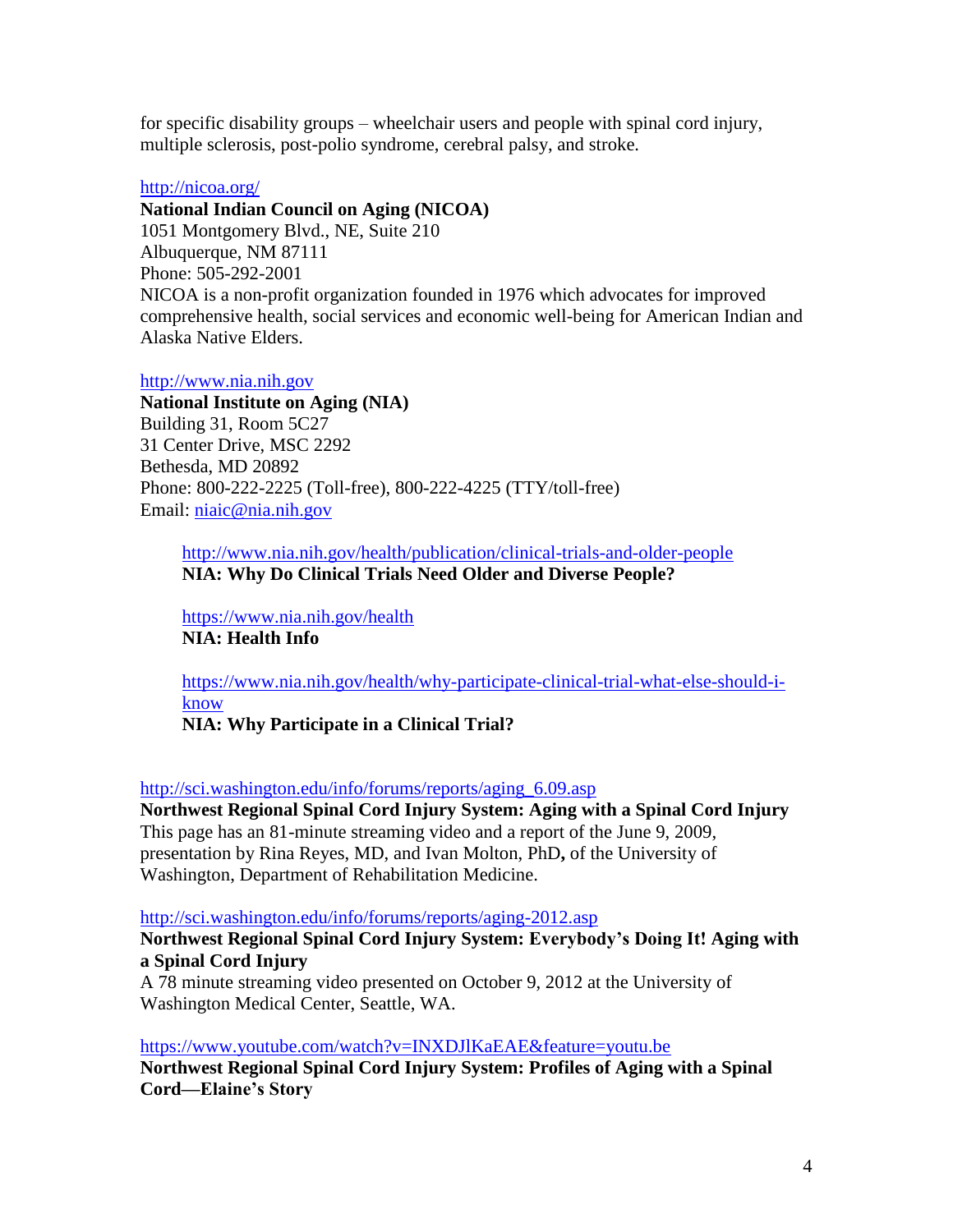for specific disability groups – wheelchair users and people with spinal cord injury, multiple sclerosis, post-polio syndrome, cerebral palsy, and stroke.

### <http://nicoa.org/>

**National Indian Council on Aging (NICOA)**

1051 Montgomery Blvd., NE, Suite 210 Albuquerque, NM 87111 Phone: 505-292-2001 NICOA is a non-profit organization founded in 1976 which advocates for improved comprehensive health, social services and economic well-being for American Indian and Alaska Native Elders.

[http://www.nia.nih.gov](http://www.nia.nih.gov/)

**National Institute on Aging (NIA)** Building 31, Room 5C27 31 Center Drive, MSC 2292 Bethesda, MD 20892 Phone: 800-222-2225 (Toll-free), 800-222-4225 (TTY/toll-free) Email: [niaic@nia.nih.gov](mailto:niaic@nia.nih.gov)

<http://www.nia.nih.gov/health/publication/clinical-trials-and-older-people> **NIA: Why Do Clinical Trials Need Older and Diverse People?**

<https://www.nia.nih.gov/health> **NIA: Health Info**

[https://www.nia.nih.gov/health/why-participate-clinical-trial-what-else-should-i](https://www.nia.nih.gov/health/why-participate-clinical-trial-what-else-should-i-know)[know](https://www.nia.nih.gov/health/why-participate-clinical-trial-what-else-should-i-know) **NIA: Why Participate in a Clinical Trial?**

[http://sci.washington.edu/info/forums/reports/aging\\_6.09.asp](http://sci.washington.edu/info/forums/reports/aging_6.09.asp)

**Northwest Regional Spinal Cord Injury System: Aging with a Spinal Cord Injury** This page has an 81-minute streaming video and a report of the June 9, 2009, presentation by Rina Reyes, MD, and Ivan Molton, PhD**,** of the University of Washington, Department of Rehabilitation Medicine.

<http://sci.washington.edu/info/forums/reports/aging-2012.asp>

**Northwest Regional Spinal Cord Injury System: Everybody's Doing It! Aging with a Spinal Cord Injury**

A 78 minute streaming video presented on October 9, 2012 at the University of Washington Medical Center, Seattle, WA.

<https://www.youtube.com/watch?v=INXDJlKaEAE&feature=youtu.be>

**Northwest Regional Spinal Cord Injury System: Profiles of Aging with a Spinal Cord—Elaine's Story**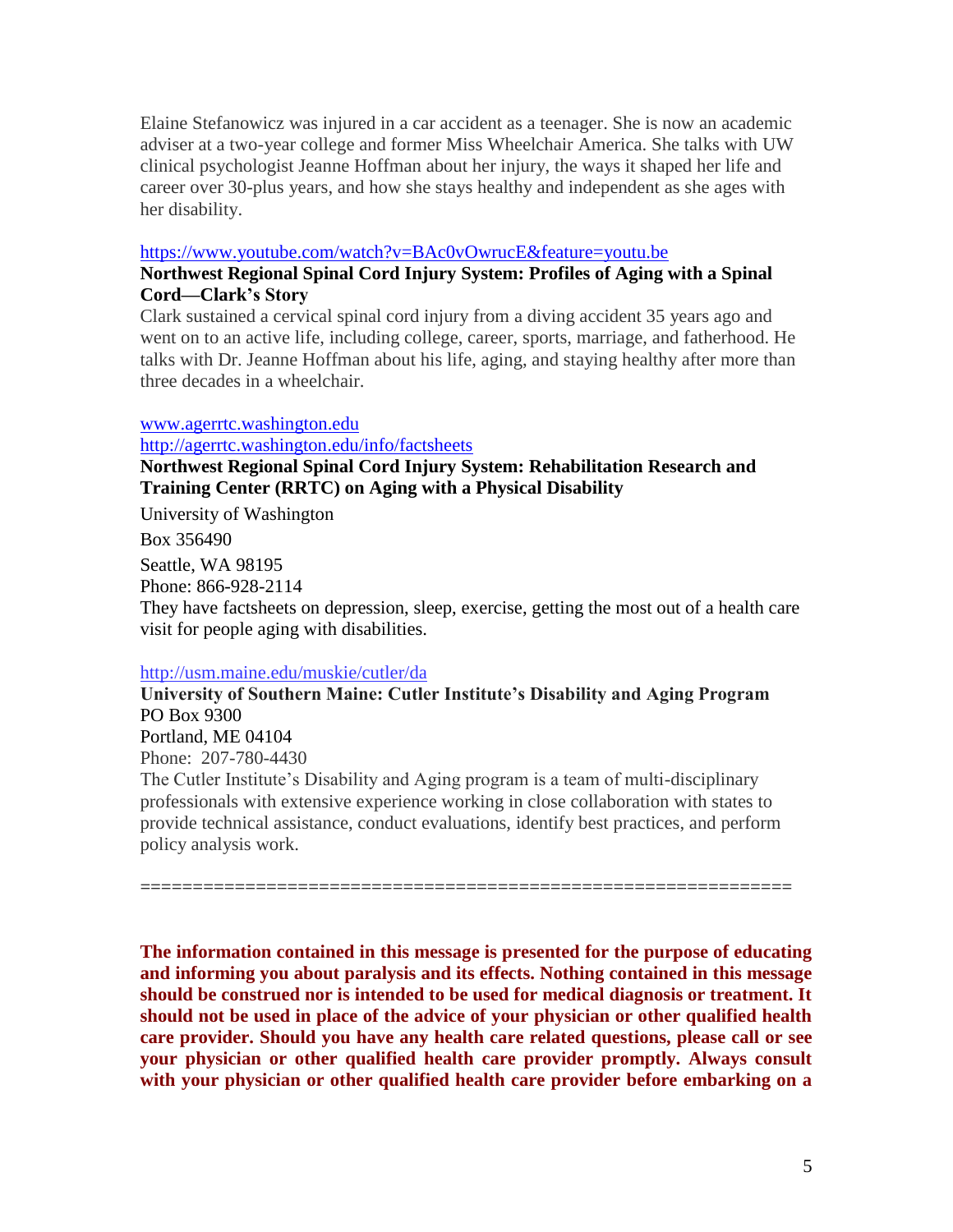Elaine Stefanowicz was injured in a car accident as a teenager. She is now an academic adviser at a two-year college and former Miss Wheelchair America. She talks with UW clinical psychologist Jeanne Hoffman about her injury, the ways it shaped her life and career over 30-plus years, and how she stays healthy and independent as she ages with her disability.

### <https://www.youtube.com/watch?v=BAc0vOwrucE&feature=youtu.be>

# **Northwest Regional Spinal Cord Injury System: Profiles of Aging with a Spinal Cord—Clark's Story**

Clark sustained a cervical spinal cord injury from a diving accident 35 years ago and went on to an active life, including college, career, sports, marriage, and fatherhood. He talks with Dr. Jeanne Hoffman about his life, aging, and staying healthy after more than three decades in a wheelchair.

### [www.agerrtc.washington.edu](http://www.agerrtc.washington.edu/)

<http://agerrtc.washington.edu/info/factsheets>

# **Northwest Regional Spinal Cord Injury System: Rehabilitation Research and Training Center (RRTC) on Aging with a Physical Disability**

University of Washington

Box 356490

Seattle, WA 98195 Phone: 866-928-2114 They have factsheets on depression, sleep, exercise, getting the most out of a health care visit for people aging with disabilities.

### <http://usm.maine.edu/muskie/cutler/da>

**University of Southern Maine: Cutler Institute's Disability and Aging Program** PO Box 9300 Portland, ME 04104 Phone: 207-780-4430 The Cutler Institute's Disability and Aging program is a team of multi-disciplinary

professionals with extensive experience working in close collaboration with states to provide technical assistance, conduct evaluations, identify best practices, and perform policy analysis work.

==============================================================

**The information contained in this message is presented for the purpose of educating and informing you about paralysis and its effects. Nothing contained in this message should be construed nor is intended to be used for medical diagnosis or treatment. It should not be used in place of the advice of your physician or other qualified health care provider. Should you have any health care related questions, please call or see your physician or other qualified health care provider promptly. Always consult with your physician or other qualified health care provider before embarking on a**